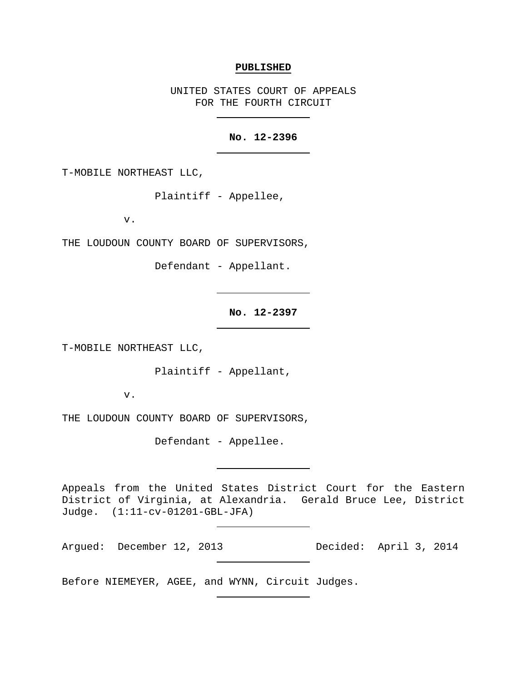#### **PUBLISHED**

UNITED STATES COURT OF APPEALS FOR THE FOURTH CIRCUIT

# **No. 12-2396**

T-MOBILE NORTHEAST LLC,

Plaintiff - Appellee,

v.

THE LOUDOUN COUNTY BOARD OF SUPERVISORS,

Defendant - Appellant.

**No. 12-2397**

T-MOBILE NORTHEAST LLC,

Plaintiff - Appellant,

v.

THE LOUDOUN COUNTY BOARD OF SUPERVISORS,

Defendant - Appellee.

Appeals from the United States District Court for the Eastern District of Virginia, at Alexandria. Gerald Bruce Lee, District Judge. (1:11-cv-01201-GBL-JFA)

Argued: December 12, 2013 Decided: April 3, 2014

Before NIEMEYER, AGEE, and WYNN, Circuit Judges.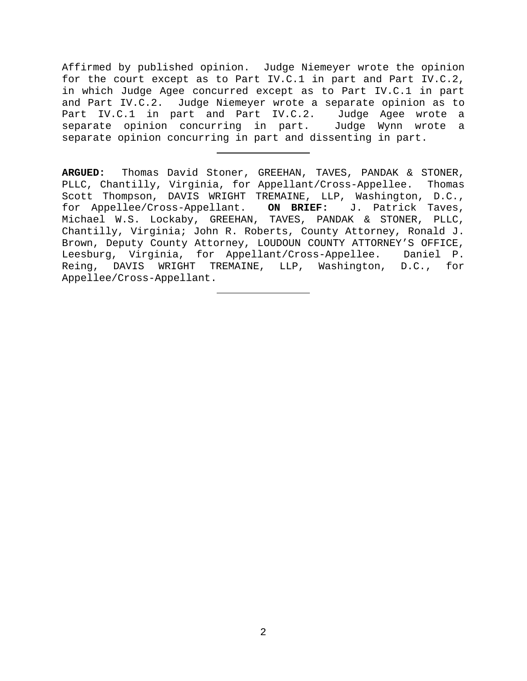Affirmed by published opinion. Judge Niemeyer wrote the opinion for the court except as to Part IV.C.1 in part and Part IV.C.2, in which Judge Agee concurred except as to Part IV.C.1 in part and Part IV.C.2. Judge Niemeyer wrote a separate opinion as to Part IV.C.1 in part and Part IV.C.2. Judge Agee wrote a separate opinion concurring in part. Judge Wynn wrote a separate opinion concurring in part and dissenting in part.

**ARGUED:** Thomas David Stoner, GREEHAN, TAVES, PANDAK & STONER, PLLC, Chantilly, Virginia, for Appellant/Cross-Appellee. Thomas Scott Thompson, DAVIS WRIGHT TREMAINE, LLP, Washington, D.C., for Appellee/Cross-Appellant. **ON BRIEF:** J. Patrick Taves, Michael W.S. Lockaby, GREEHAN, TAVES, PANDAK & STONER, PLLC, Chantilly, Virginia; John R. Roberts, County Attorney, Ronald J. Brown, Deputy County Attorney, LOUDOUN COUNTY ATTORNEY'S OFFICE, Leesburg, Virginia, for Appellant/Cross-Appellee. Daniel P.<br>Reing, DAVIS WRIGHT TREMAINE, LLP, Washington, D.C., for WRIGHT TREMAINE, LLP, Washington, D.C., for Appellee/Cross-Appellant.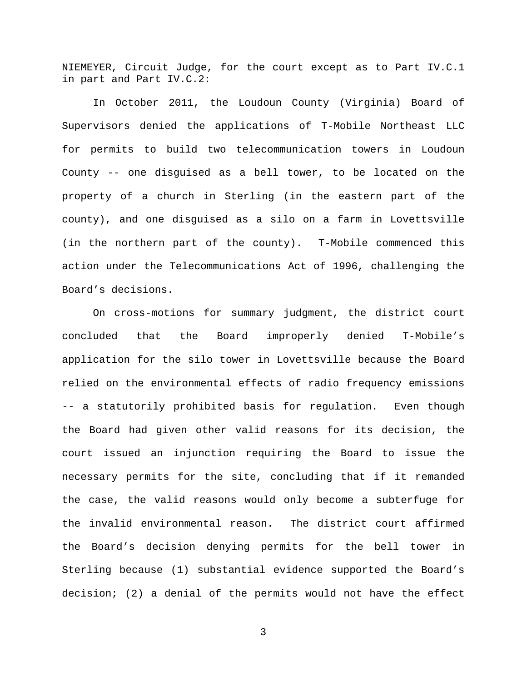NIEMEYER, Circuit Judge, for the court except as to Part IV.C.1 in part and Part IV.C.2:

In October 2011, the Loudoun County (Virginia) Board of Supervisors denied the applications of T-Mobile Northeast LLC for permits to build two telecommunication towers in Loudoun County -- one disguised as a bell tower, to be located on the property of a church in Sterling (in the eastern part of the county), and one disguised as a silo on a farm in Lovettsville (in the northern part of the county). T-Mobile commenced this action under the Telecommunications Act of 1996, challenging the Board's decisions.

On cross-motions for summary judgment, the district court concluded that the Board improperly denied T-Mobile's application for the silo tower in Lovettsville because the Board relied on the environmental effects of radio frequency emissions -- a statutorily prohibited basis for regulation. Even though the Board had given other valid reasons for its decision, the court issued an injunction requiring the Board to issue the necessary permits for the site, concluding that if it remanded the case, the valid reasons would only become a subterfuge for the invalid environmental reason. The district court affirmed the Board's decision denying permits for the bell tower in Sterling because (1) substantial evidence supported the Board's decision; (2) a denial of the permits would not have the effect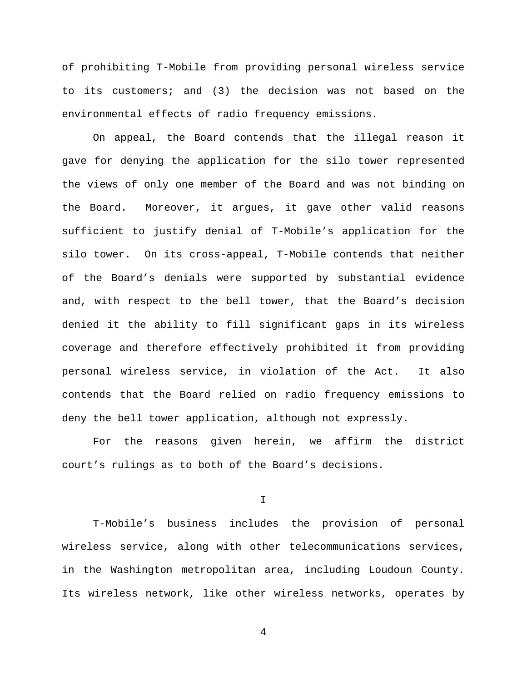of prohibiting T-Mobile from providing personal wireless service to its customers; and (3) the decision was not based on the environmental effects of radio frequency emissions.

On appeal, the Board contends that the illegal reason it gave for denying the application for the silo tower represented the views of only one member of the Board and was not binding on the Board. Moreover, it argues, it gave other valid reasons sufficient to justify denial of T-Mobile's application for the silo tower. On its cross-appeal, T-Mobile contends that neither of the Board's denials were supported by substantial evidence and, with respect to the bell tower, that the Board's decision denied it the ability to fill significant gaps in its wireless coverage and therefore effectively prohibited it from providing personal wireless service, in violation of the Act. It also contends that the Board relied on radio frequency emissions to deny the bell tower application, although not expressly.

For the reasons given herein, we affirm the district court's rulings as to both of the Board's decisions.

I

T-Mobile's business includes the provision of personal wireless service, along with other telecommunications services, in the Washington metropolitan area, including Loudoun County. Its wireless network, like other wireless networks, operates by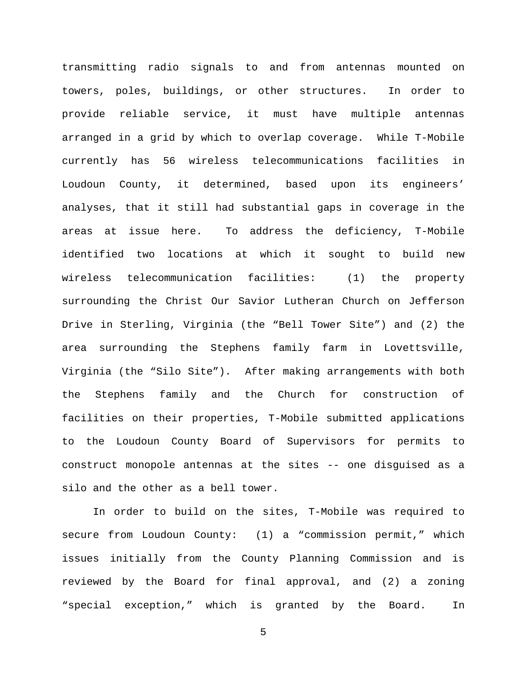transmitting radio signals to and from antennas mounted on towers, poles, buildings, or other structures. In order to provide reliable service, it must have multiple antennas arranged in a grid by which to overlap coverage. While T-Mobile currently has 56 wireless telecommunications facilities in Loudoun County, it determined, based upon its engineers' analyses, that it still had substantial gaps in coverage in the areas at issue here. To address the deficiency, T-Mobile identified two locations at which it sought to build new wireless telecommunication facilities: (1) the property surrounding the Christ Our Savior Lutheran Church on Jefferson Drive in Sterling, Virginia (the "Bell Tower Site") and (2) the area surrounding the Stephens family farm in Lovettsville, Virginia (the "Silo Site"). After making arrangements with both the Stephens family and the Church for construction of facilities on their properties, T-Mobile submitted applications to the Loudoun County Board of Supervisors for permits to construct monopole antennas at the sites -- one disguised as a silo and the other as a bell tower.

In order to build on the sites, T-Mobile was required to secure from Loudoun County: (1) a "commission permit," which issues initially from the County Planning Commission and is reviewed by the Board for final approval, and (2) a zoning "special exception," which is granted by the Board. In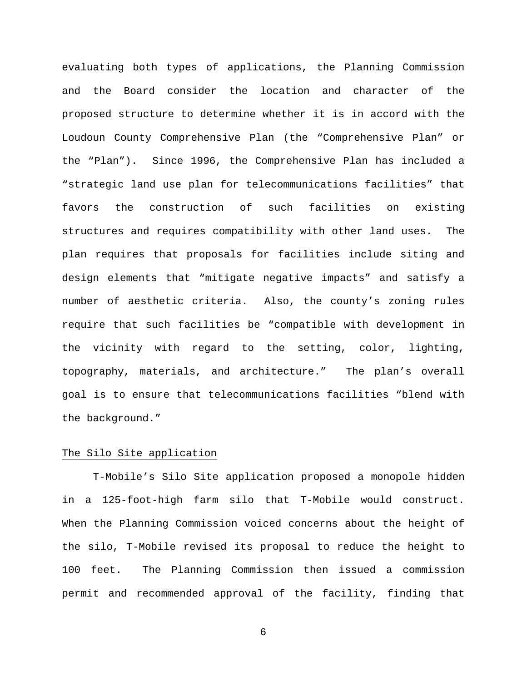evaluating both types of applications, the Planning Commission and the Board consider the location and character of the proposed structure to determine whether it is in accord with the Loudoun County Comprehensive Plan (the "Comprehensive Plan" or the "Plan"). Since 1996, the Comprehensive Plan has included a "strategic land use plan for telecommunications facilities" that favors the construction of such facilities on existing structures and requires compatibility with other land uses. The plan requires that proposals for facilities include siting and design elements that "mitigate negative impacts" and satisfy a number of aesthetic criteria. Also, the county's zoning rules require that such facilities be "compatible with development in the vicinity with regard to the setting, color, lighting, topography, materials, and architecture." The plan's overall goal is to ensure that telecommunications facilities "blend with the background."

# The Silo Site application

T-Mobile's Silo Site application proposed a monopole hidden in a 125-foot-high farm silo that T-Mobile would construct. When the Planning Commission voiced concerns about the height of the silo, T-Mobile revised its proposal to reduce the height to 100 feet. The Planning Commission then issued a commission permit and recommended approval of the facility, finding that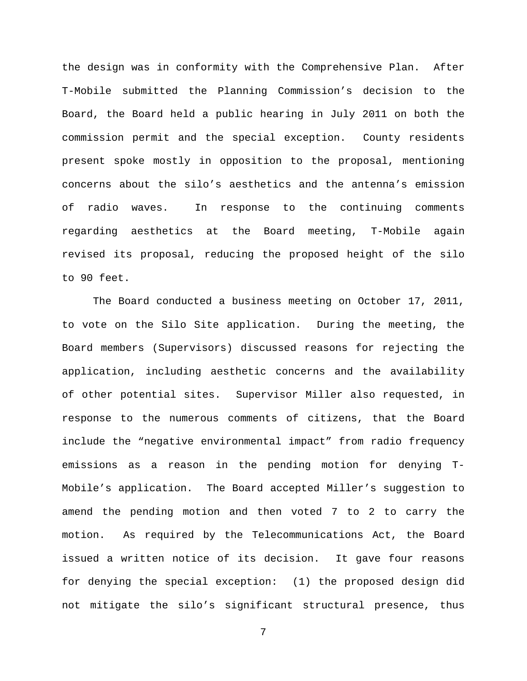the design was in conformity with the Comprehensive Plan. After T-Mobile submitted the Planning Commission's decision to the Board, the Board held a public hearing in July 2011 on both the commission permit and the special exception. County residents present spoke mostly in opposition to the proposal, mentioning concerns about the silo's aesthetics and the antenna's emission of radio waves. In response to the continuing comments regarding aesthetics at the Board meeting, T-Mobile again revised its proposal, reducing the proposed height of the silo to 90 feet.

The Board conducted a business meeting on October 17, 2011, to vote on the Silo Site application. During the meeting, the Board members (Supervisors) discussed reasons for rejecting the application, including aesthetic concerns and the availability of other potential sites. Supervisor Miller also requested, in response to the numerous comments of citizens, that the Board include the "negative environmental impact" from radio frequency emissions as a reason in the pending motion for denying T-Mobile's application. The Board accepted Miller's suggestion to amend the pending motion and then voted 7 to 2 to carry the motion. As required by the Telecommunications Act, the Board issued a written notice of its decision. It gave four reasons for denying the special exception: (1) the proposed design did not mitigate the silo's significant structural presence, thus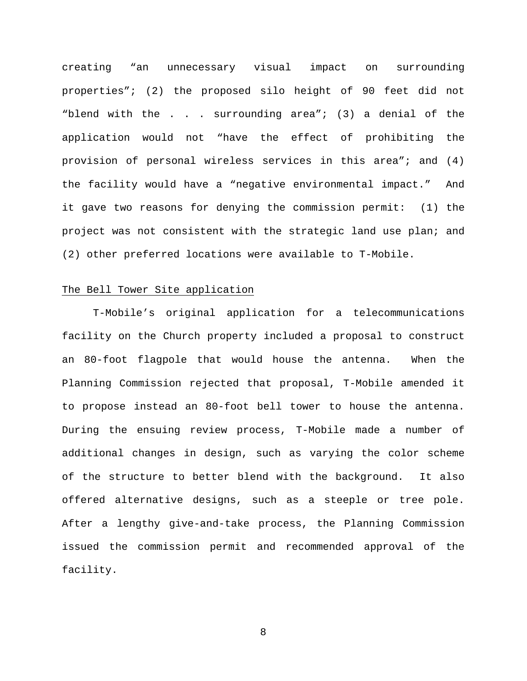creating "an unnecessary visual impact on surrounding properties"; (2) the proposed silo height of 90 feet did not "blend with the . . . surrounding area"; (3) a denial of the application would not "have the effect of prohibiting the provision of personal wireless services in this area"; and (4) the facility would have a "negative environmental impact." And it gave two reasons for denying the commission permit: (1) the project was not consistent with the strategic land use plan; and (2) other preferred locations were available to T-Mobile.

## The Bell Tower Site application

T-Mobile's original application for a telecommunications facility on the Church property included a proposal to construct an 80-foot flagpole that would house the antenna. When the Planning Commission rejected that proposal, T-Mobile amended it to propose instead an 80-foot bell tower to house the antenna. During the ensuing review process, T-Mobile made a number of additional changes in design, such as varying the color scheme of the structure to better blend with the background. It also offered alternative designs, such as a steeple or tree pole. After a lengthy give-and-take process, the Planning Commission issued the commission permit and recommended approval of the facility.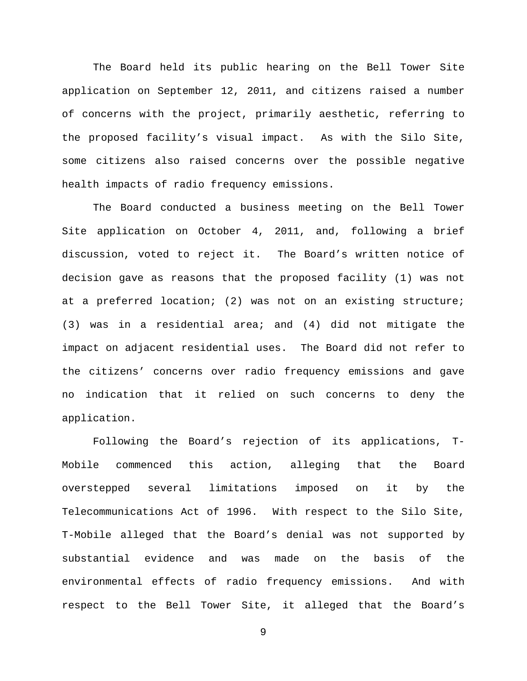The Board held its public hearing on the Bell Tower Site application on September 12, 2011, and citizens raised a number of concerns with the project, primarily aesthetic, referring to the proposed facility's visual impact. As with the Silo Site, some citizens also raised concerns over the possible negative health impacts of radio frequency emissions.

The Board conducted a business meeting on the Bell Tower Site application on October 4, 2011, and, following a brief discussion, voted to reject it. The Board's written notice of decision gave as reasons that the proposed facility (1) was not at a preferred location; (2) was not on an existing structure; (3) was in a residential area; and (4) did not mitigate the impact on adjacent residential uses. The Board did not refer to the citizens' concerns over radio frequency emissions and gave no indication that it relied on such concerns to deny the application.

Following the Board's rejection of its applications, T-Mobile commenced this action, alleging that the Board overstepped several limitations imposed on it by the Telecommunications Act of 1996. With respect to the Silo Site, T-Mobile alleged that the Board's denial was not supported by substantial evidence and was made on the basis of the environmental effects of radio frequency emissions. And with respect to the Bell Tower Site, it alleged that the Board's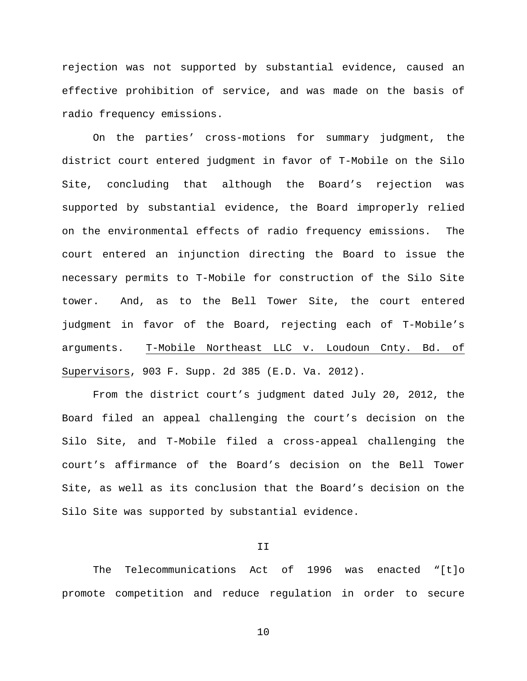rejection was not supported by substantial evidence, caused an effective prohibition of service, and was made on the basis of radio frequency emissions.

On the parties' cross-motions for summary judgment, the district court entered judgment in favor of T-Mobile on the Silo Site, concluding that although the Board's rejection was supported by substantial evidence, the Board improperly relied on the environmental effects of radio frequency emissions. The court entered an injunction directing the Board to issue the necessary permits to T-Mobile for construction of the Silo Site tower. And, as to the Bell Tower Site, the court entered judgment in favor of the Board, rejecting each of T-Mobile's arguments. T-Mobile Northeast LLC v. Loudoun Cnty. Bd. of Supervisors, 903 F. Supp. 2d 385 (E.D. Va. 2012).

From the district court's judgment dated July 20, 2012, the Board filed an appeal challenging the court's decision on the Silo Site, and T-Mobile filed a cross-appeal challenging the court's affirmance of the Board's decision on the Bell Tower Site, as well as its conclusion that the Board's decision on the Silo Site was supported by substantial evidence.

II

The Telecommunications Act of 1996 was enacted "[t]o promote competition and reduce regulation in order to secure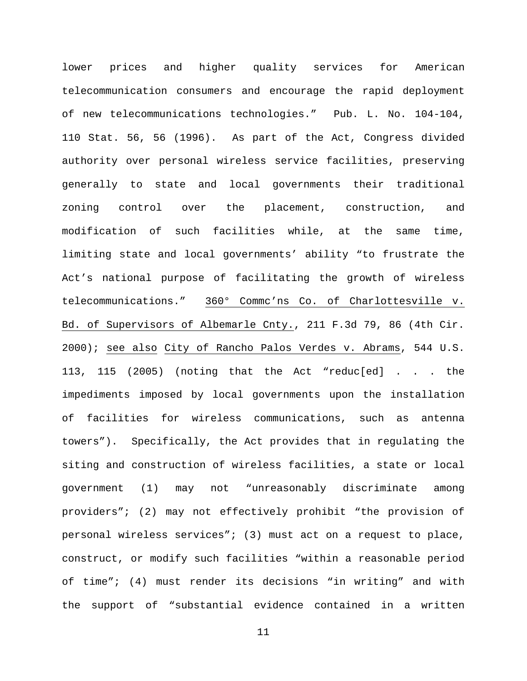lower prices and higher quality services for American telecommunication consumers and encourage the rapid deployment of new telecommunications technologies." Pub. L. No. 104-104, 110 Stat. 56, 56 (1996). As part of the Act, Congress divided authority over personal wireless service facilities, preserving generally to state and local governments their traditional zoning control over the placement, construction, and modification of such facilities while, at the same time, limiting state and local governments' ability "to frustrate the Act's national purpose of facilitating the growth of wireless telecommunications." 360° Commc'ns Co. of Charlottesville v. Bd. of Supervisors of Albemarle Cnty., 211 F.3d 79, 86 (4th Cir. 2000); see also City of Rancho Palos Verdes v. Abrams, 544 U.S. 113, 115 (2005) (noting that the Act "reduc[ed] . . . the impediments imposed by local governments upon the installation of facilities for wireless communications, such as antenna towers"). Specifically, the Act provides that in regulating the siting and construction of wireless facilities, a state or local government (1) may not "unreasonably discriminate among providers"; (2) may not effectively prohibit "the provision of personal wireless services"; (3) must act on a request to place, construct, or modify such facilities "within a reasonable period of time"; (4) must render its decisions "in writing" and with the support of "substantial evidence contained in a written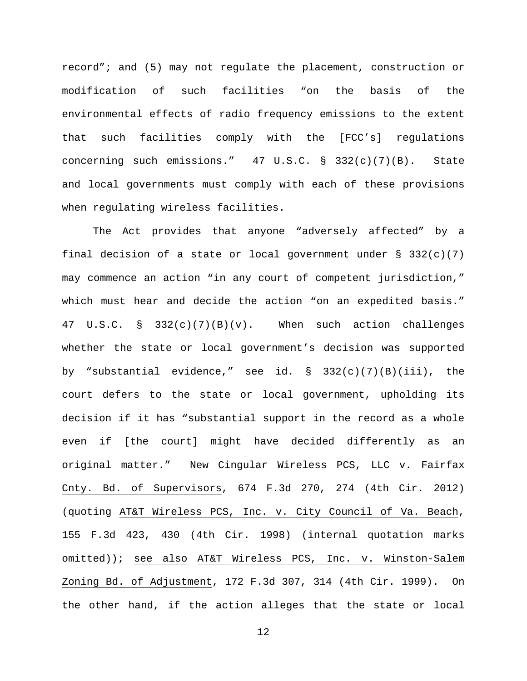record"; and (5) may not regulate the placement, construction or modification of such facilities "on the basis of the environmental effects of radio frequency emissions to the extent that such facilities comply with the [FCC's] regulations concerning such emissions."  $47 \text{ U.S.C.} \$   $332(c)(7)(B)$ . State and local governments must comply with each of these provisions when regulating wireless facilities.

The Act provides that anyone "adversely affected" by a final decision of a state or local government under  $\S$  332(c)(7) may commence an action "in any court of competent jurisdiction," which must hear and decide the action "on an expedited basis." 47 U.S.C. § 332(c)(7)(B)(v). When such action challenges whether the state or local government's decision was supported by "substantial evidence," see id. § 332(c)(7)(B)(iii), the court defers to the state or local government, upholding its decision if it has "substantial support in the record as a whole even if [the court] might have decided differently as an original matter." New Cingular Wireless PCS, LLC v. Fairfax Cnty. Bd. of Supervisors, 674 F.3d 270, 274 (4th Cir. 2012) (quoting AT&T Wireless PCS, Inc. v. City Council of Va. Beach, 155 F.3d 423, 430 (4th Cir. 1998) (internal quotation marks omitted)); see also AT&T Wireless PCS, Inc. v. Winston-Salem Zoning Bd. of Adjustment, 172 F.3d 307, 314 (4th Cir. 1999). On the other hand, if the action alleges that the state or local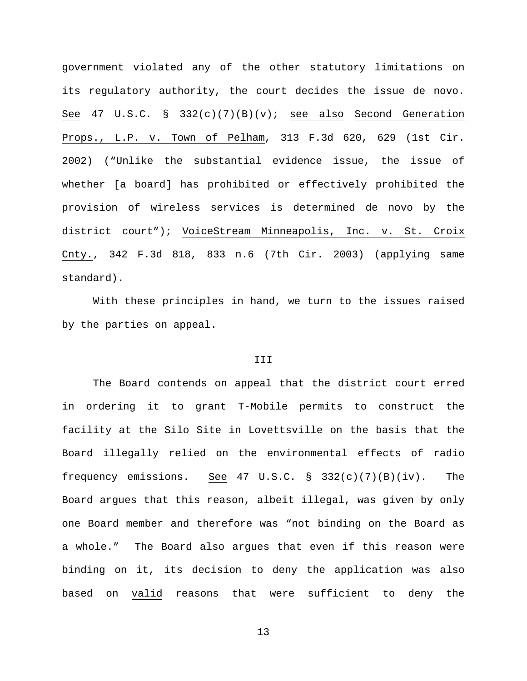government violated any of the other statutory limitations on its regulatory authority, the court decides the issue de novo. See 47 U.S.C. § 332(c)(7)(B)(v); see also Second Generation Props., L.P. v. Town of Pelham, 313 F.3d 620, 629 (1st Cir. 2002) ("Unlike the substantial evidence issue, the issue of whether [a board] has prohibited or effectively prohibited the provision of wireless services is determined de novo by the district court"); VoiceStream Minneapolis, Inc. v. St. Croix Cnty., 342 F.3d 818, 833 n.6 (7th Cir. 2003) (applying same standard).

With these principles in hand, we turn to the issues raised by the parties on appeal.

## III

The Board contends on appeal that the district court erred in ordering it to grant T-Mobile permits to construct the facility at the Silo Site in Lovettsville on the basis that the Board illegally relied on the environmental effects of radio frequency emissions. See 47 U.S.C. § 332(c)(7)(B)(iv). The Board argues that this reason, albeit illegal, was given by only one Board member and therefore was "not binding on the Board as a whole." The Board also argues that even if this reason were binding on it, its decision to deny the application was also based on valid reasons that were sufficient to deny the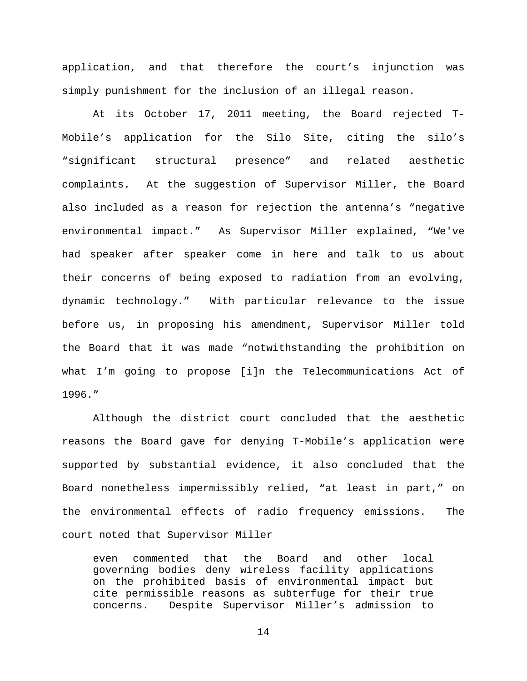application, and that therefore the court's injunction was simply punishment for the inclusion of an illegal reason.

At its October 17, 2011 meeting, the Board rejected T-Mobile's application for the Silo Site, citing the silo's "significant structural presence" and related aesthetic complaints. At the suggestion of Supervisor Miller, the Board also included as a reason for rejection the antenna's "negative environmental impact." As Supervisor Miller explained, "We've had speaker after speaker come in here and talk to us about their concerns of being exposed to radiation from an evolving, dynamic technology." With particular relevance to the issue before us, in proposing his amendment, Supervisor Miller told the Board that it was made "notwithstanding the prohibition on what I'm going to propose [i]n the Telecommunications Act of 1996."

Although the district court concluded that the aesthetic reasons the Board gave for denying T-Mobile's application were supported by substantial evidence, it also concluded that the Board nonetheless impermissibly relied, "at least in part," on the environmental effects of radio frequency emissions. The court noted that Supervisor Miller

even commented that the Board and other local governing bodies deny wireless facility applications on the prohibited basis of environmental impact but cite permissible reasons as subterfuge for their true concerns. Despite Supervisor Miller's admission to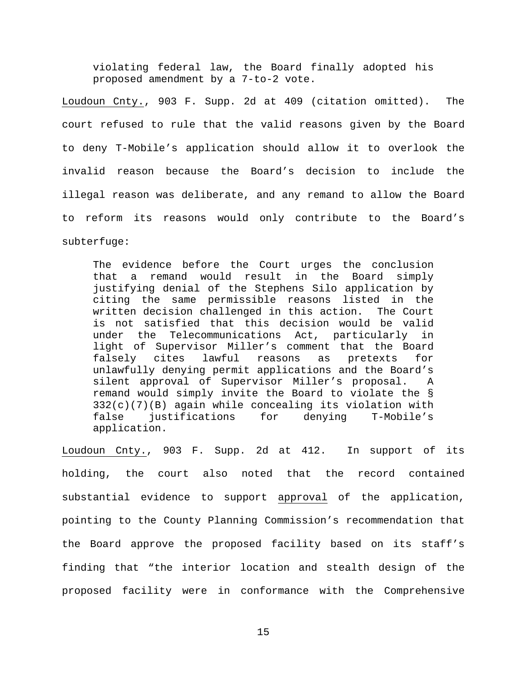violating federal law, the Board finally adopted his proposed amendment by a 7-to-2 vote.

Loudoun Cnty., 903 F. Supp. 2d at 409 (citation omitted). The court refused to rule that the valid reasons given by the Board to deny T-Mobile's application should allow it to overlook the invalid reason because the Board's decision to include the illegal reason was deliberate, and any remand to allow the Board to reform its reasons would only contribute to the Board's subterfuge:

The evidence before the Court urges the conclusion<br>that a remand would result in the Board simply that a remand would result in the Board justifying denial of the Stephens Silo application by citing the same permissible reasons listed in the written decision challenged in this action. The Court is not satisfied that this decision would be valid under the Telecommunications Act, particularly in light of Supervisor Miller's comment that the Board falsely cites lawful reasons as pretexts for unlawfully denying permit applications and the Board's silent approval of Supervisor Miller's proposal. A remand would simply invite the Board to violate the § 332(c)(7)(B) again while concealing its violation with for denying application.

Loudoun Cnty., 903 F. Supp. 2d at 412. In support of its holding, the court also noted that the record contained substantial evidence to support approval of the application, pointing to the County Planning Commission's recommendation that the Board approve the proposed facility based on its staff's finding that "the interior location and stealth design of the proposed facility were in conformance with the Comprehensive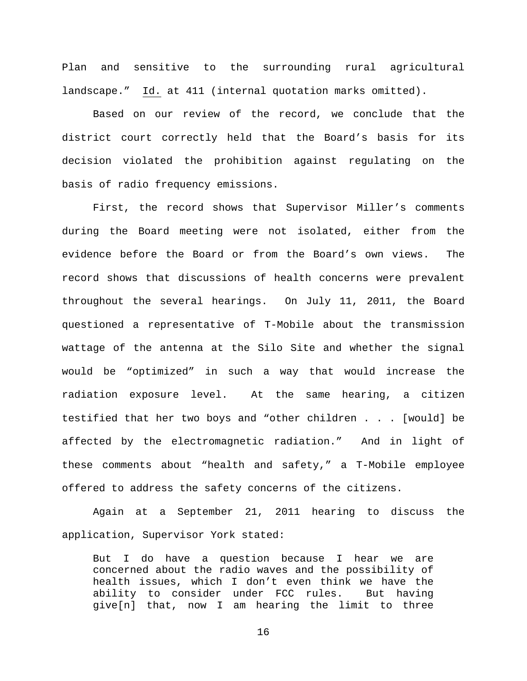Plan and sensitive to the surrounding rural agricultural landscape." Id. at 411 (internal quotation marks omitted).

Based on our review of the record, we conclude that the district court correctly held that the Board's basis for its decision violated the prohibition against regulating on the basis of radio frequency emissions.

First, the record shows that Supervisor Miller's comments during the Board meeting were not isolated, either from the evidence before the Board or from the Board's own views. The record shows that discussions of health concerns were prevalent throughout the several hearings. On July 11, 2011, the Board questioned a representative of T-Mobile about the transmission wattage of the antenna at the Silo Site and whether the signal would be "optimized" in such a way that would increase the radiation exposure level. At the same hearing, a citizen testified that her two boys and "other children . . . [would] be affected by the electromagnetic radiation." And in light of these comments about "health and safety," a T-Mobile employee offered to address the safety concerns of the citizens.

Again at a September 21, 2011 hearing to discuss the application, Supervisor York stated:

But I do have a question because I hear we are concerned about the radio waves and the possibility of health issues, which I don't even think we have the ability to consider under FCC rules. But having give[n] that, now I am hearing the limit to three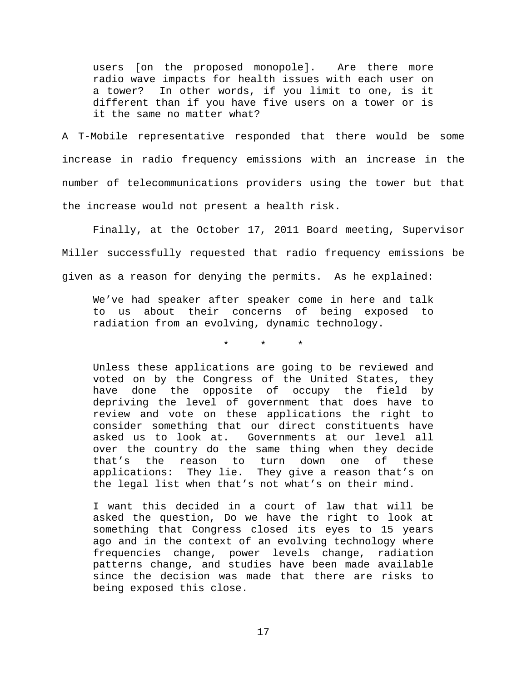users [on the proposed monopole]. Are there more radio wave impacts for health issues with each user on a tower? In other words, if you limit to one, is it different than if you have five users on a tower or is it the same no matter what?

A T-Mobile representative responded that there would be some increase in radio frequency emissions with an increase in the number of telecommunications providers using the tower but that the increase would not present a health risk.

Finally, at the October 17, 2011 Board meeting, Supervisor Miller successfully requested that radio frequency emissions be given as a reason for denying the permits. As he explained:

We've had speaker after speaker come in here and talk to us about their concerns of being exposed to radiation from an evolving, dynamic technology.

\* \* \*

Unless these applications are going to be reviewed and voted on by the Congress of the United States, they have done the opposite of occupy the field by depriving the level of government that does have to review and vote on these applications the right to consider something that our direct constituents have asked us to look at. Governments at our level all over the country do the same thing when they decide that's the reason to turn down one of these applications: They lie. They give a reason that's on the legal list when that's not what's on their mind.

I want this decided in a court of law that will be asked the question, Do we have the right to look at something that Congress closed its eyes to 15 years ago and in the context of an evolving technology where frequencies change, power levels change, radiation patterns change, and studies have been made available since the decision was made that there are risks to being exposed this close.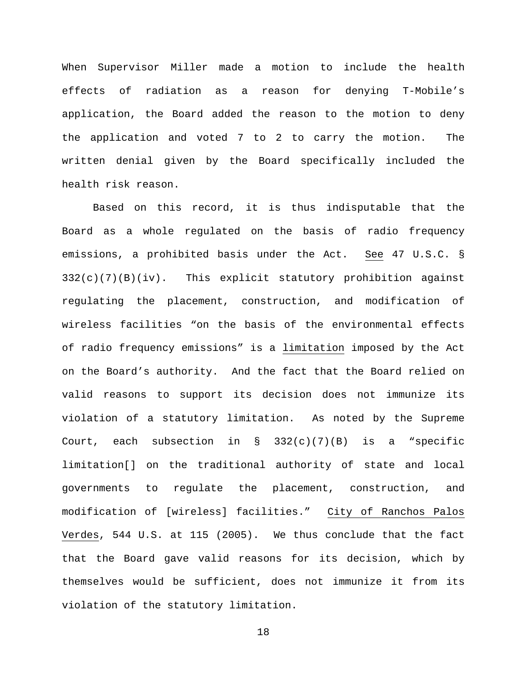When Supervisor Miller made a motion to include the health effects of radiation as a reason for denying T-Mobile's application, the Board added the reason to the motion to deny the application and voted 7 to 2 to carry the motion. The written denial given by the Board specifically included the health risk reason.

Based on this record, it is thus indisputable that the Board as a whole regulated on the basis of radio frequency emissions, a prohibited basis under the Act. See 47 U.S.C. §  $332(c)(7)(B)(iv)$ . This explicit statutory prohibition against regulating the placement, construction, and modification of wireless facilities "on the basis of the environmental effects of radio frequency emissions" is a limitation imposed by the Act on the Board's authority. And the fact that the Board relied on valid reasons to support its decision does not immunize its violation of a statutory limitation. As noted by the Supreme Court, each subsection in §  $332(c)(7)(B)$  is a "specific limitation[] on the traditional authority of state and local governments to regulate the placement, construction, and modification of [wireless] facilities." City of Ranchos Palos Verdes, 544 U.S. at 115 (2005). We thus conclude that the fact that the Board gave valid reasons for its decision, which by themselves would be sufficient, does not immunize it from its violation of the statutory limitation.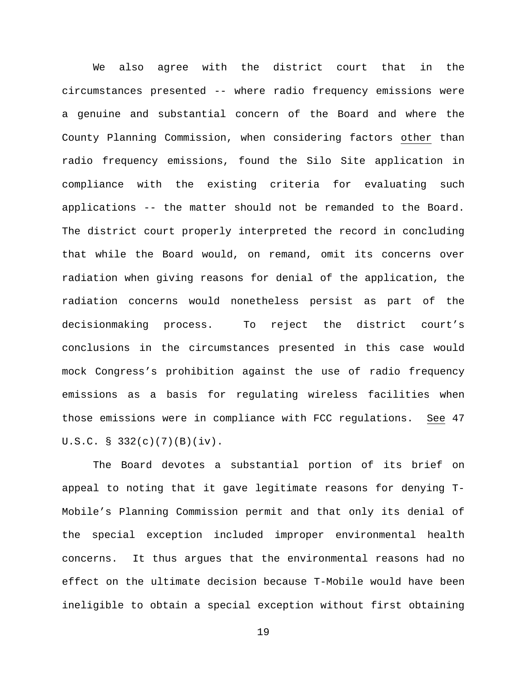We also agree with the district court that in the circumstances presented -- where radio frequency emissions were a genuine and substantial concern of the Board and where the County Planning Commission, when considering factors other than radio frequency emissions, found the Silo Site application in compliance with the existing criteria for evaluating such applications -- the matter should not be remanded to the Board. The district court properly interpreted the record in concluding that while the Board would, on remand, omit its concerns over radiation when giving reasons for denial of the application, the radiation concerns would nonetheless persist as part of the decisionmaking process. To reject the district court's conclusions in the circumstances presented in this case would mock Congress's prohibition against the use of radio frequency emissions as a basis for regulating wireless facilities when those emissions were in compliance with FCC regulations. See 47 U.S.C. § 332(c)(7)(B)(iv).

The Board devotes a substantial portion of its brief on appeal to noting that it gave legitimate reasons for denying T-Mobile's Planning Commission permit and that only its denial of the special exception included improper environmental health concerns. It thus argues that the environmental reasons had no effect on the ultimate decision because T-Mobile would have been ineligible to obtain a special exception without first obtaining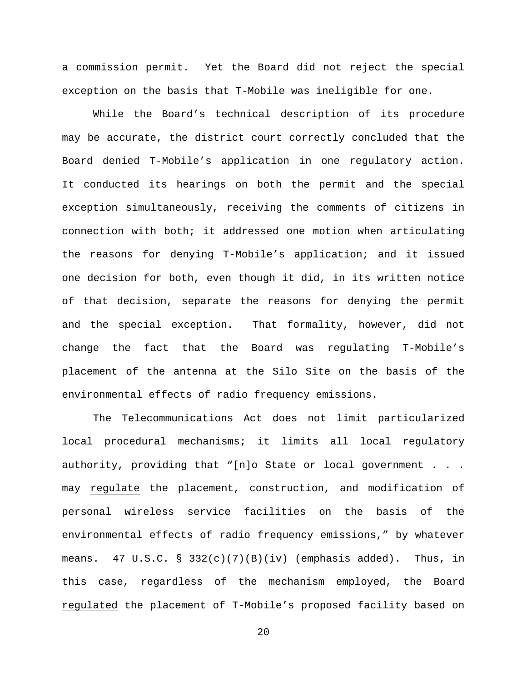a commission permit. Yet the Board did not reject the special exception on the basis that T-Mobile was ineligible for one.

While the Board's technical description of its procedure may be accurate, the district court correctly concluded that the Board denied T-Mobile's application in one regulatory action. It conducted its hearings on both the permit and the special exception simultaneously, receiving the comments of citizens in connection with both; it addressed one motion when articulating the reasons for denying T-Mobile's application; and it issued one decision for both, even though it did, in its written notice of that decision, separate the reasons for denying the permit and the special exception. That formality, however, did not change the fact that the Board was regulating T-Mobile's placement of the antenna at the Silo Site on the basis of the environmental effects of radio frequency emissions.

The Telecommunications Act does not limit particularized local procedural mechanisms; it limits all local regulatory authority, providing that "[n]o State or local government . . . may regulate the placement, construction, and modification of personal wireless service facilities on the basis of the environmental effects of radio frequency emissions," by whatever means.  $47 \text{ U.S.C. }$   $8 \text{ 332(c)(7)(B)(iv) }$  (emphasis added). Thus, in this case, regardless of the mechanism employed, the Board regulated the placement of T-Mobile's proposed facility based on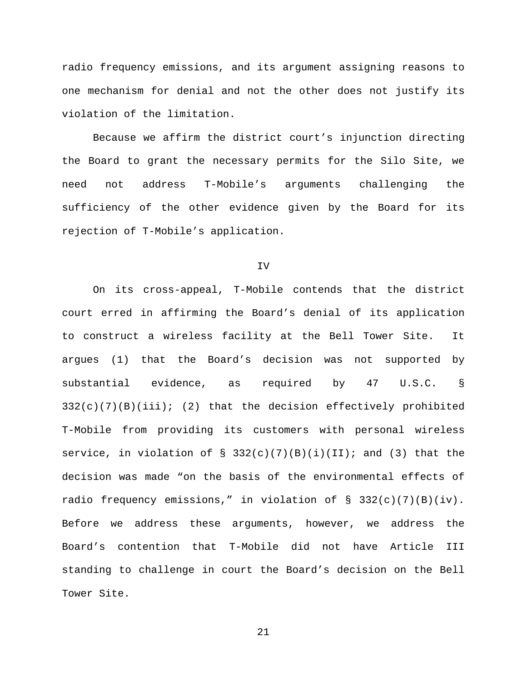radio frequency emissions, and its argument assigning reasons to one mechanism for denial and not the other does not justify its violation of the limitation.

Because we affirm the district court's injunction directing the Board to grant the necessary permits for the Silo Site, we need not address T-Mobile's arguments challenging the sufficiency of the other evidence given by the Board for its rejection of T-Mobile's application.

#### IV

On its cross-appeal, T-Mobile contends that the district court erred in affirming the Board's denial of its application to construct a wireless facility at the Bell Tower Site. It argues (1) that the Board's decision was not supported by substantial evidence, as required by 47 U.S.C. §  $332(c)(7)(B)(iii);$  (2) that the decision effectively prohibited T-Mobile from providing its customers with personal wireless service, in violation of  $\S$  332(c)(7)(B)(i)(II); and (3) that the decision was made "on the basis of the environmental effects of radio frequency emissions," in violation of § 332(c)(7)(B)(iv). Before we address these arguments, however, we address the Board's contention that T-Mobile did not have Article III standing to challenge in court the Board's decision on the Bell Tower Site.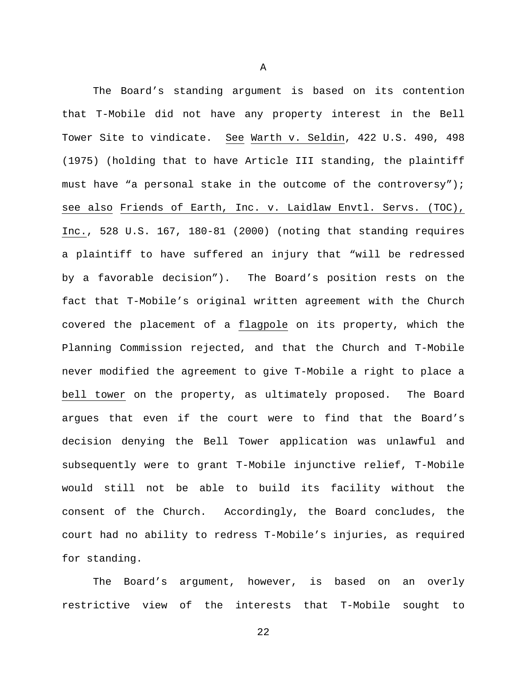The Board's standing argument is based on its contention that T-Mobile did not have any property interest in the Bell Tower Site to vindicate. See Warth v. Seldin, 422 U.S. 490, 498 (1975) (holding that to have Article III standing, the plaintiff must have "a personal stake in the outcome of the controversy"); see also Friends of Earth, Inc. v. Laidlaw Envtl. Servs. (TOC), Inc., 528 U.S. 167, 180-81 (2000) (noting that standing requires a plaintiff to have suffered an injury that "will be redressed by a favorable decision"). The Board's position rests on the fact that T-Mobile's original written agreement with the Church covered the placement of a flagpole on its property, which the Planning Commission rejected, and that the Church and T-Mobile never modified the agreement to give T-Mobile a right to place a bell tower on the property, as ultimately proposed. The Board argues that even if the court were to find that the Board's decision denying the Bell Tower application was unlawful and subsequently were to grant T-Mobile injunctive relief, T-Mobile would still not be able to build its facility without the consent of the Church. Accordingly, the Board concludes, the court had no ability to redress T-Mobile's injuries, as required for standing.

The Board's argument, however, is based on an overly restrictive view of the interests that T-Mobile sought to

22

A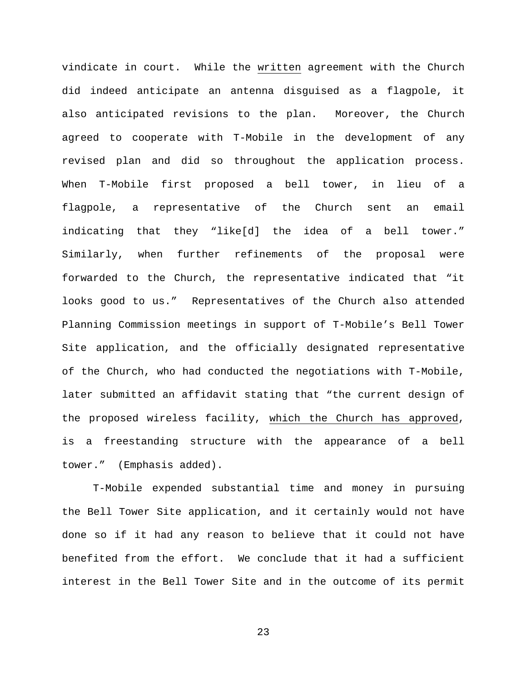vindicate in court. While the written agreement with the Church did indeed anticipate an antenna disguised as a flagpole, it also anticipated revisions to the plan. Moreover, the Church agreed to cooperate with T-Mobile in the development of any revised plan and did so throughout the application process. When T-Mobile first proposed a bell tower, in lieu of a flagpole, a representative of the Church sent an email indicating that they "like[d] the idea of a bell tower." Similarly, when further refinements of the proposal were forwarded to the Church, the representative indicated that "it looks good to us." Representatives of the Church also attended Planning Commission meetings in support of T-Mobile's Bell Tower Site application, and the officially designated representative of the Church, who had conducted the negotiations with T-Mobile, later submitted an affidavit stating that "the current design of the proposed wireless facility, which the Church has approved, is a freestanding structure with the appearance of a bell tower." (Emphasis added).

T-Mobile expended substantial time and money in pursuing the Bell Tower Site application, and it certainly would not have done so if it had any reason to believe that it could not have benefited from the effort. We conclude that it had a sufficient interest in the Bell Tower Site and in the outcome of its permit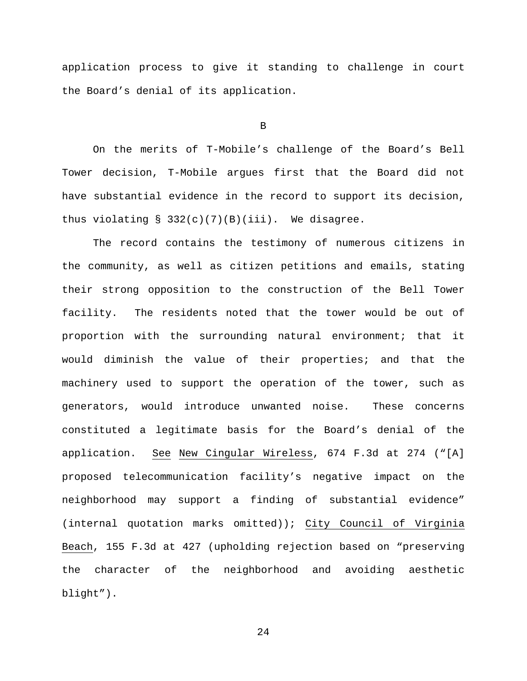application process to give it standing to challenge in court the Board's denial of its application.

B

On the merits of T-Mobile's challenge of the Board's Bell Tower decision, T-Mobile argues first that the Board did not have substantial evidence in the record to support its decision, thus violating  $\S$  332(c)(7)(B)(iii). We disagree.

The record contains the testimony of numerous citizens in the community, as well as citizen petitions and emails, stating their strong opposition to the construction of the Bell Tower facility. The residents noted that the tower would be out of proportion with the surrounding natural environment; that it would diminish the value of their properties; and that the machinery used to support the operation of the tower, such as generators, would introduce unwanted noise. These concerns constituted a legitimate basis for the Board's denial of the application. See New Cingular Wireless, 674 F.3d at 274 ("[A] proposed telecommunication facility's negative impact on the neighborhood may support a finding of substantial evidence" (internal quotation marks omitted)); City Council of Virginia Beach, 155 F.3d at 427 (upholding rejection based on "preserving the character of the neighborhood and avoiding aesthetic blight").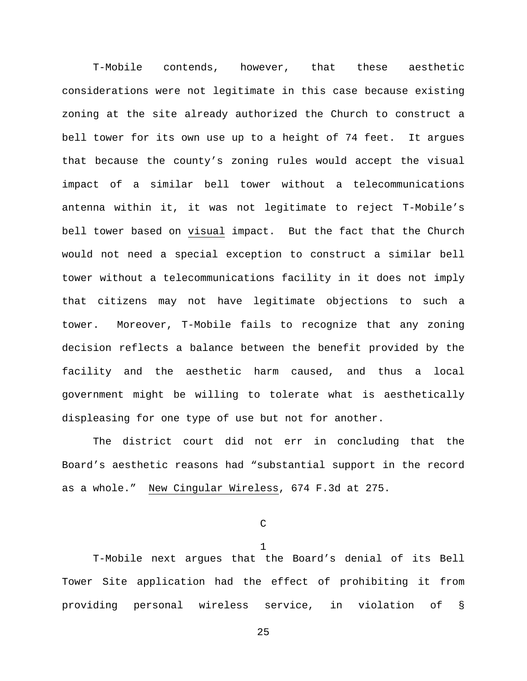T-Mobile contends, however, that these aesthetic considerations were not legitimate in this case because existing zoning at the site already authorized the Church to construct a bell tower for its own use up to a height of 74 feet. It argues that because the county's zoning rules would accept the visual impact of a similar bell tower without a telecommunications antenna within it, it was not legitimate to reject T-Mobile's bell tower based on visual impact. But the fact that the Church would not need a special exception to construct a similar bell tower without a telecommunications facility in it does not imply that citizens may not have legitimate objections to such a tower. Moreover, T-Mobile fails to recognize that any zoning decision reflects a balance between the benefit provided by the facility and the aesthetic harm caused, and thus a local government might be willing to tolerate what is aesthetically displeasing for one type of use but not for another.

The district court did not err in concluding that the Board's aesthetic reasons had "substantial support in the record as a whole." New Cingular Wireless, 674 F.3d at 275.

C

1

T-Mobile next argues that the Board's denial of its Bell Tower Site application had the effect of prohibiting it from providing personal wireless service, in violation of §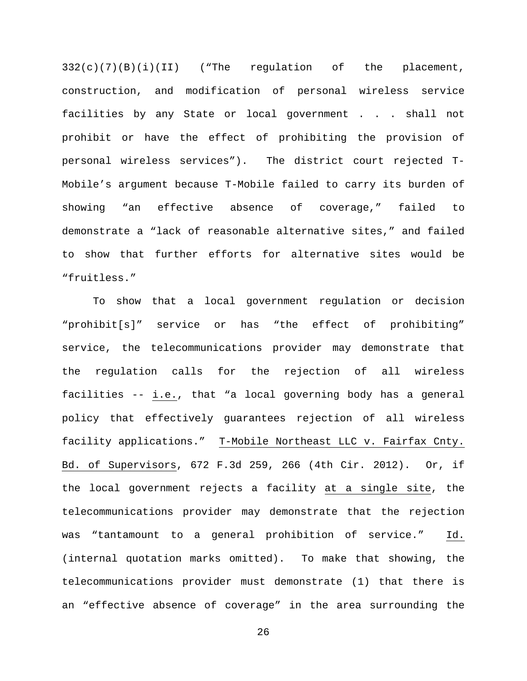332(c)(7)(B)(i)(II) ("The regulation of the placement, construction, and modification of personal wireless service facilities by any State or local government . . . shall not prohibit or have the effect of prohibiting the provision of personal wireless services"). The district court rejected T-Mobile's argument because T-Mobile failed to carry its burden of showing "an effective absence of coverage," failed to demonstrate a "lack of reasonable alternative sites," and failed to show that further efforts for alternative sites would be "fruitless."

To show that a local government regulation or decision "prohibit[s]" service or has "the effect of prohibiting" service, the telecommunications provider may demonstrate that the regulation calls for the rejection of all wireless facilities -- i.e., that "a local governing body has a general policy that effectively guarantees rejection of all wireless facility applications." T-Mobile Northeast LLC v. Fairfax Cnty. Bd. of Supervisors, 672 F.3d 259, 266 (4th Cir. 2012). Or, if the local government rejects a facility at a single site, the telecommunications provider may demonstrate that the rejection was "tantamount to a general prohibition of service." Id. (internal quotation marks omitted). To make that showing, the telecommunications provider must demonstrate (1) that there is an "effective absence of coverage" in the area surrounding the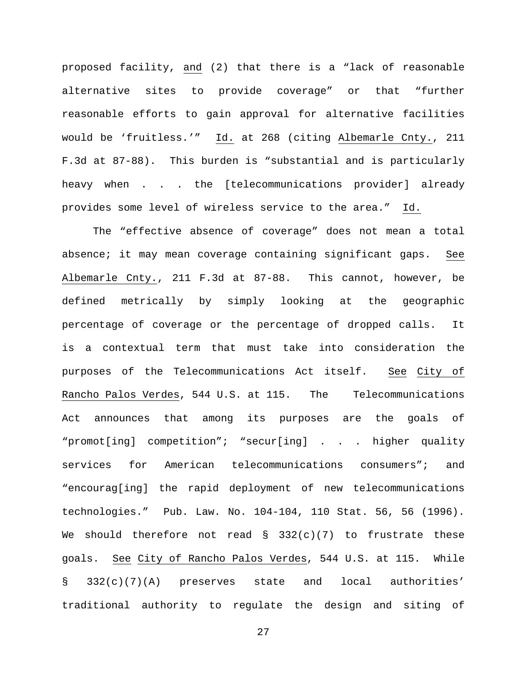proposed facility, and (2) that there is a "lack of reasonable alternative sites to provide coverage" or that "further reasonable efforts to gain approval for alternative facilities would be 'fruitless.'" Id. at 268 (citing Albemarle Cnty., 211 F.3d at 87-88). This burden is "substantial and is particularly heavy when . . . the [telecommunications provider] already provides some level of wireless service to the area." Id.

The "effective absence of coverage" does not mean a total absence; it may mean coverage containing significant gaps. See Albemarle Cnty., 211 F.3d at 87-88. This cannot, however, be defined metrically by simply looking at the geographic percentage of coverage or the percentage of dropped calls. It is a contextual term that must take into consideration the purposes of the Telecommunications Act itself. See City of Rancho Palos Verdes, 544 U.S. at 115. The Telecommunications Act announces that among its purposes are the goals of "promot[ing] competition"; "secur[ing] . . . higher quality services for American telecommunications consumers"; and "encourag[ing] the rapid deployment of new telecommunications technologies." Pub. Law. No. 104-104, 110 Stat. 56, 56 (1996). We should therefore not read  $\S$  332(c)(7) to frustrate these goals. See City of Rancho Palos Verdes, 544 U.S. at 115. While § 332(c)(7)(A) preserves state and local authorities' traditional authority to regulate the design and siting of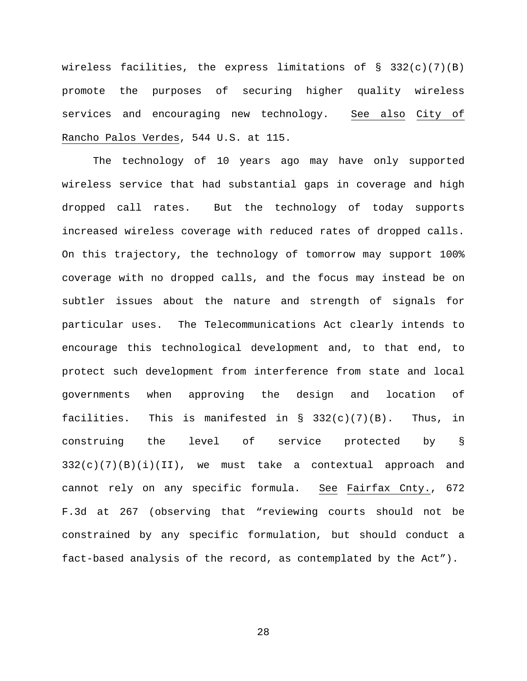wireless facilities, the express limitations of  $\S$  332(c)(7)(B) promote the purposes of securing higher quality wireless services and encouraging new technology. See also City of Rancho Palos Verdes, 544 U.S. at 115.

The technology of 10 years ago may have only supported wireless service that had substantial gaps in coverage and high dropped call rates. But the technology of today supports increased wireless coverage with reduced rates of dropped calls. On this trajectory, the technology of tomorrow may support 100% coverage with no dropped calls, and the focus may instead be on subtler issues about the nature and strength of signals for particular uses. The Telecommunications Act clearly intends to encourage this technological development and, to that end, to protect such development from interference from state and local governments when approving the design and location of facilities. This is manifested in  $\S$  332(c)(7)(B). Thus, in construing the level of service protected by §  $332(c)(7)(B)(i)(II)$ , we must take a contextual approach and cannot rely on any specific formula. See Fairfax Cnty., 672 F.3d at 267 (observing that "reviewing courts should not be constrained by any specific formulation, but should conduct a fact-based analysis of the record, as contemplated by the Act").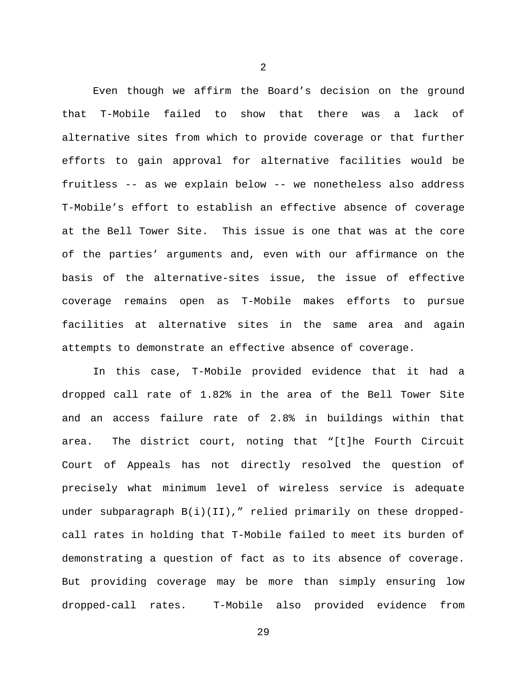Even though we affirm the Board's decision on the ground that T-Mobile failed to show that there was a lack of alternative sites from which to provide coverage or that further efforts to gain approval for alternative facilities would be fruitless -- as we explain below -- we nonetheless also address T-Mobile's effort to establish an effective absence of coverage at the Bell Tower Site. This issue is one that was at the core of the parties' arguments and, even with our affirmance on the basis of the alternative-sites issue, the issue of effective coverage remains open as T-Mobile makes efforts to pursue facilities at alternative sites in the same area and again attempts to demonstrate an effective absence of coverage.

In this case, T-Mobile provided evidence that it had a dropped call rate of 1.82% in the area of the Bell Tower Site and an access failure rate of 2.8% in buildings within that area. The district court, noting that "[t]he Fourth Circuit Court of Appeals has not directly resolved the question of precisely what minimum level of wireless service is adequate under subparagraph B(i)(II)," relied primarily on these droppedcall rates in holding that T-Mobile failed to meet its burden of demonstrating a question of fact as to its absence of coverage. But providing coverage may be more than simply ensuring low dropped-call rates. T-Mobile also provided evidence from

2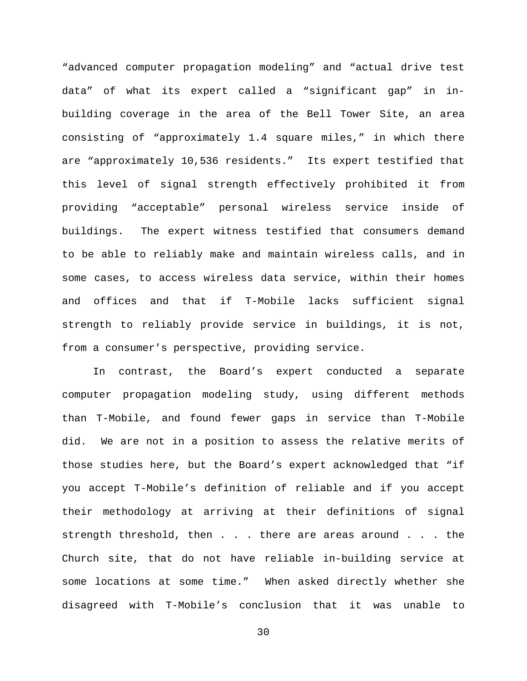"advanced computer propagation modeling" and "actual drive test data" of what its expert called a "significant gap" in inbuilding coverage in the area of the Bell Tower Site, an area consisting of "approximately 1.4 square miles," in which there are "approximately 10,536 residents." Its expert testified that this level of signal strength effectively prohibited it from providing "acceptable" personal wireless service inside of buildings. The expert witness testified that consumers demand to be able to reliably make and maintain wireless calls, and in some cases, to access wireless data service, within their homes and offices and that if T-Mobile lacks sufficient signal strength to reliably provide service in buildings, it is not, from a consumer's perspective, providing service.

In contrast, the Board's expert conducted a separate computer propagation modeling study, using different methods than T-Mobile, and found fewer gaps in service than T-Mobile did. We are not in a position to assess the relative merits of those studies here, but the Board's expert acknowledged that "if you accept T-Mobile's definition of reliable and if you accept their methodology at arriving at their definitions of signal strength threshold, then . . . there are areas around . . . the Church site, that do not have reliable in-building service at some locations at some time." When asked directly whether she disagreed with T-Mobile's conclusion that it was unable to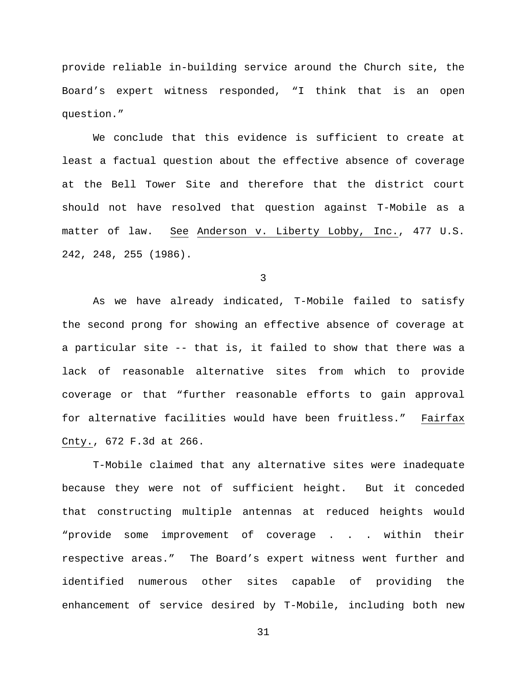provide reliable in-building service around the Church site, the Board's expert witness responded, "I think that is an open question."

We conclude that this evidence is sufficient to create at least a factual question about the effective absence of coverage at the Bell Tower Site and therefore that the district court should not have resolved that question against T-Mobile as a matter of law. See Anderson v. Liberty Lobby, Inc., 477 U.S. 242, 248, 255 (1986).

3

As we have already indicated, T-Mobile failed to satisfy the second prong for showing an effective absence of coverage at a particular site -- that is, it failed to show that there was a lack of reasonable alternative sites from which to provide coverage or that "further reasonable efforts to gain approval for alternative facilities would have been fruitless." Fairfax Cnty., 672 F.3d at 266.

T-Mobile claimed that any alternative sites were inadequate because they were not of sufficient height. But it conceded that constructing multiple antennas at reduced heights would "provide some improvement of coverage . . . within their respective areas." The Board's expert witness went further and identified numerous other sites capable of providing the enhancement of service desired by T-Mobile, including both new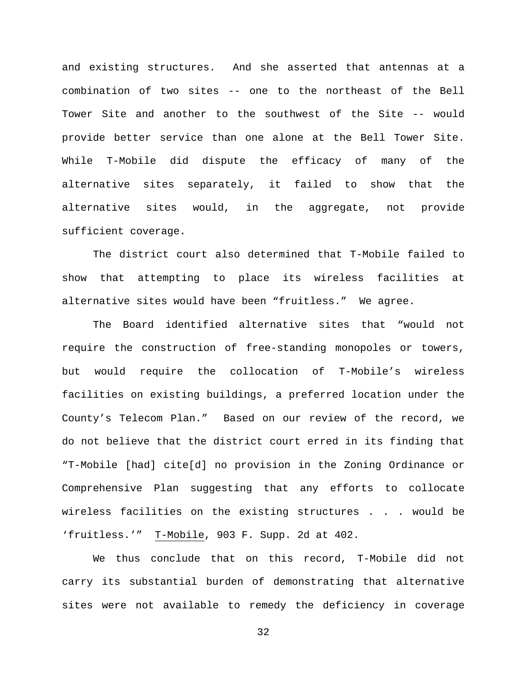and existing structures. And she asserted that antennas at a combination of two sites -- one to the northeast of the Bell Tower Site and another to the southwest of the Site -- would provide better service than one alone at the Bell Tower Site. While T-Mobile did dispute the efficacy of many of the alternative sites separately, it failed to show that the alternative sites would, in the aggregate, not provide sufficient coverage.

The district court also determined that T-Mobile failed to show that attempting to place its wireless facilities at alternative sites would have been "fruitless." We agree.

The Board identified alternative sites that "would not require the construction of free-standing monopoles or towers, but would require the collocation of T-Mobile's wireless facilities on existing buildings, a preferred location under the County's Telecom Plan." Based on our review of the record, we do not believe that the district court erred in its finding that "T-Mobile [had] cite[d] no provision in the Zoning Ordinance or Comprehensive Plan suggesting that any efforts to collocate wireless facilities on the existing structures . . . would be 'fruitless.'" T-Mobile, 903 F. Supp. 2d at 402.

We thus conclude that on this record, T-Mobile did not carry its substantial burden of demonstrating that alternative sites were not available to remedy the deficiency in coverage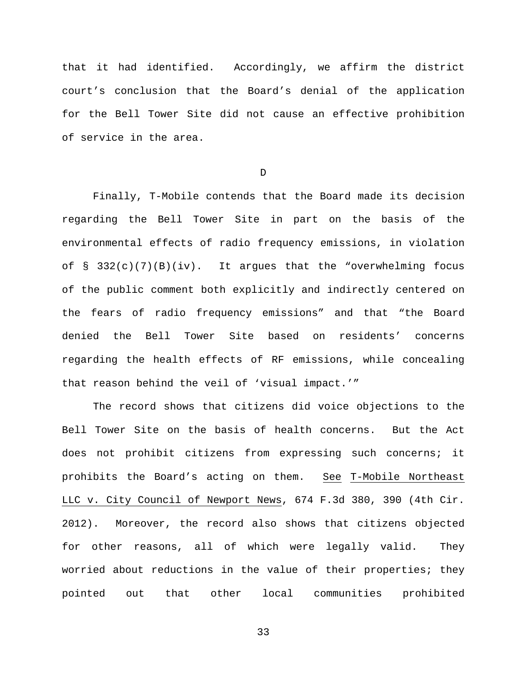that it had identified. Accordingly, we affirm the district court's conclusion that the Board's denial of the application for the Bell Tower Site did not cause an effective prohibition of service in the area.

D

Finally, T-Mobile contends that the Board made its decision regarding the Bell Tower Site in part on the basis of the environmental effects of radio frequency emissions, in violation of  $\S$  332(c)(7)(B)(iv). It argues that the "overwhelming focus of the public comment both explicitly and indirectly centered on the fears of radio frequency emissions" and that "the Board denied the Bell Tower Site based on residents' concerns regarding the health effects of RF emissions, while concealing that reason behind the veil of 'visual impact.'"

The record shows that citizens did voice objections to the Bell Tower Site on the basis of health concerns. But the Act does not prohibit citizens from expressing such concerns; it prohibits the Board's acting on them. See T-Mobile Northeast LLC v. City Council of Newport News, 674 F.3d 380, 390 (4th Cir. 2012). Moreover, the record also shows that citizens objected for other reasons, all of which were legally valid. They worried about reductions in the value of their properties; they pointed out that other local communities prohibited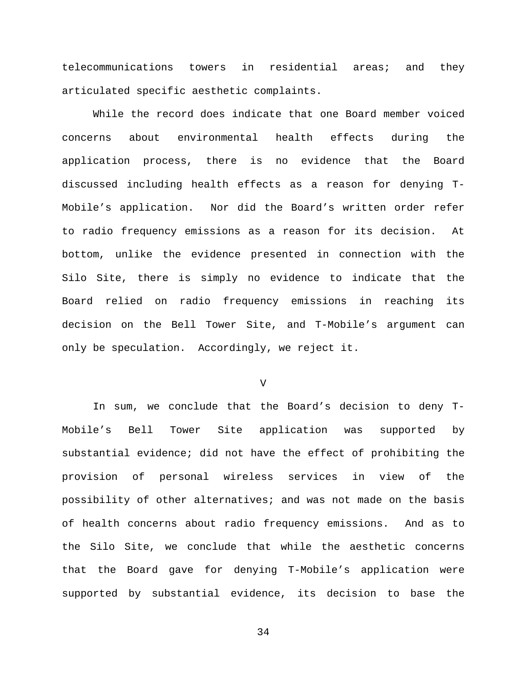telecommunications towers in residential areas; and they articulated specific aesthetic complaints.

While the record does indicate that one Board member voiced concerns about environmental health effects during the application process, there is no evidence that the Board discussed including health effects as a reason for denying T-Mobile's application. Nor did the Board's written order refer to radio frequency emissions as a reason for its decision. At bottom, unlike the evidence presented in connection with the Silo Site, there is simply no evidence to indicate that the Board relied on radio frequency emissions in reaching its decision on the Bell Tower Site, and T-Mobile's argument can only be speculation. Accordingly, we reject it.

V

In sum, we conclude that the Board's decision to deny T-Mobile's Bell Tower Site application was supported by substantial evidence; did not have the effect of prohibiting the provision of personal wireless services in view of the possibility of other alternatives; and was not made on the basis of health concerns about radio frequency emissions. And as to the Silo Site, we conclude that while the aesthetic concerns that the Board gave for denying T-Mobile's application were supported by substantial evidence, its decision to base the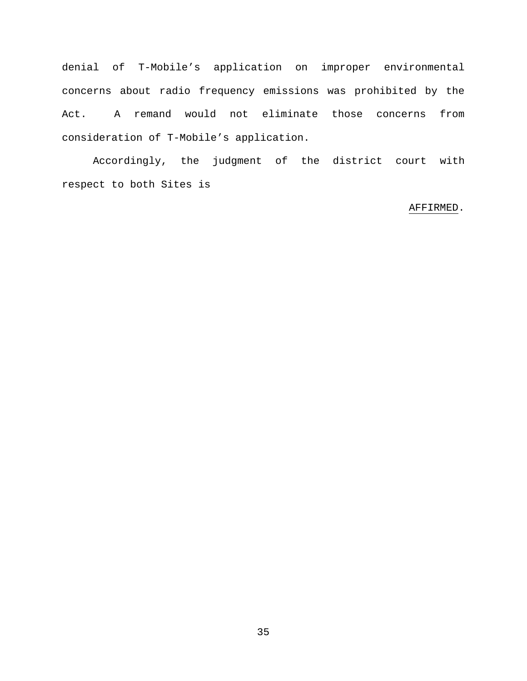denial of T-Mobile's application on improper environmental concerns about radio frequency emissions was prohibited by the Act. A remand would not eliminate those concerns from consideration of T-Mobile's application.

Accordingly, the judgment of the district court with respect to both Sites is

# AFFIRMED.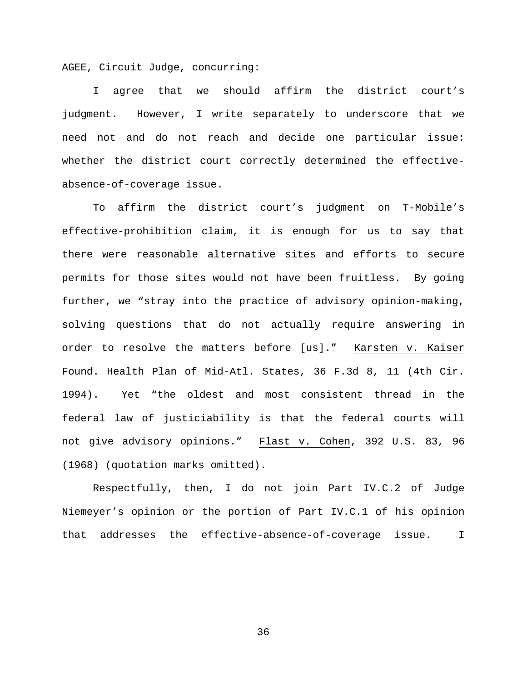AGEE, Circuit Judge, concurring:

I agree that we should affirm the district court's judgment. However, I write separately to underscore that we need not and do not reach and decide one particular issue: whether the district court correctly determined the effectiveabsence-of-coverage issue.

To affirm the district court's judgment on T-Mobile's effective-prohibition claim, it is enough for us to say that there were reasonable alternative sites and efforts to secure permits for those sites would not have been fruitless. By going further, we "stray into the practice of advisory opinion-making, solving questions that do not actually require answering in order to resolve the matters before [us]." Karsten v. Kaiser Found. Health Plan of Mid-Atl. States, 36 F.3d 8, 11 (4th Cir. 1994). Yet "the oldest and most consistent thread in the federal law of justiciability is that the federal courts will not give advisory opinions." Flast v. Cohen, 392 U.S. 83, 96 (1968) (quotation marks omitted).

Respectfully, then, I do not join Part IV.C.2 of Judge Niemeyer's opinion or the portion of Part IV.C.1 of his opinion that addresses the effective-absence-of-coverage issue. I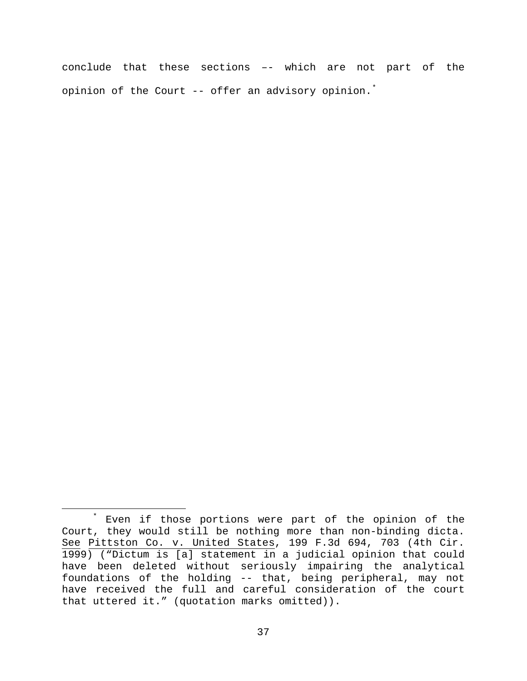conclude that these sections –- which are not part of the opinion of the Court -- offer an advisory opinion.[\\*](#page-36-0)

<span id="page-36-0"></span> <sup>\*</sup> Even if those portions were part of the opinion of the Court, they would still be nothing more than non-binding dicta. See Pittston Co. v. United States, 199 F.3d 694, 703 (4th Cir. 1999) ("Dictum is [a] statement in a judicial opinion that could have been deleted without seriously impairing the analytical foundations of the holding -- that, being peripheral, may not have received the full and careful consideration of the court that uttered it." (quotation marks omitted)).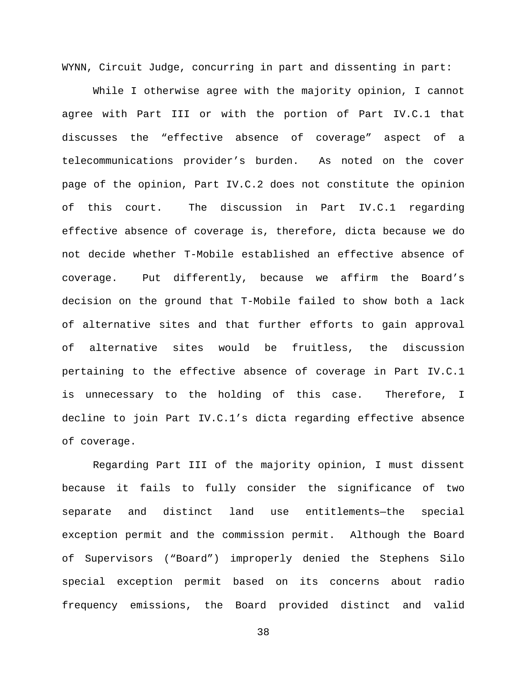WYNN, Circuit Judge, concurring in part and dissenting in part:

While I otherwise agree with the majority opinion, I cannot agree with Part III or with the portion of Part IV.C.1 that discusses the "effective absence of coverage" aspect of a telecommunications provider's burden. As noted on the cover page of the opinion, Part IV.C.2 does not constitute the opinion of this court. The discussion in Part IV.C.1 regarding effective absence of coverage is, therefore, dicta because we do not decide whether T-Mobile established an effective absence of coverage. Put differently, because we affirm the Board's decision on the ground that T-Mobile failed to show both a lack of alternative sites and that further efforts to gain approval of alternative sites would be fruitless, the discussion pertaining to the effective absence of coverage in Part IV.C.1 is unnecessary to the holding of this case. Therefore, I decline to join Part IV.C.1's dicta regarding effective absence of coverage.

Regarding Part III of the majority opinion, I must dissent because it fails to fully consider the significance of two separate and distinct land use entitlements—the special exception permit and the commission permit. Although the Board of Supervisors ("Board") improperly denied the Stephens Silo special exception permit based on its concerns about radio frequency emissions, the Board provided distinct and valid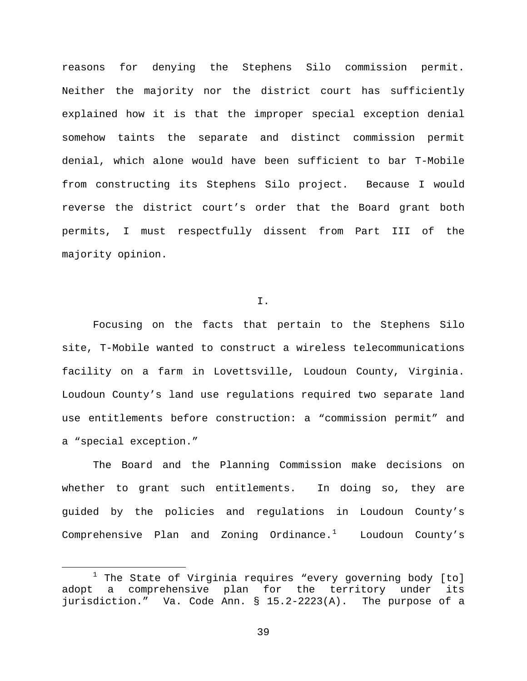reasons for denying the Stephens Silo commission permit. Neither the majority nor the district court has sufficiently explained how it is that the improper special exception denial somehow taints the separate and distinct commission permit denial, which alone would have been sufficient to bar T-Mobile from constructing its Stephens Silo project. Because I would reverse the district court's order that the Board grant both permits, I must respectfully dissent from Part III of the majority opinion.

#### I.

Focusing on the facts that pertain to the Stephens Silo site, T-Mobile wanted to construct a wireless telecommunications facility on a farm in Lovettsville, Loudoun County, Virginia. Loudoun County's land use regulations required two separate land use entitlements before construction: a "commission permit" and a "special exception."

The Board and the Planning Commission make decisions on whether to grant such entitlements. In doing so, they are guided by the policies and regulations in Loudoun County's Comprehensive Plan and Zoning Ordinance. $^1$  $^1$  Loudoun County's

<span id="page-38-0"></span> $1$  The State of Virginia requires "every governing body [to] adopt a comprehensive plan for the territory under its jurisdiction." Va. Code Ann. § 15.2-2223(A). The purpose of a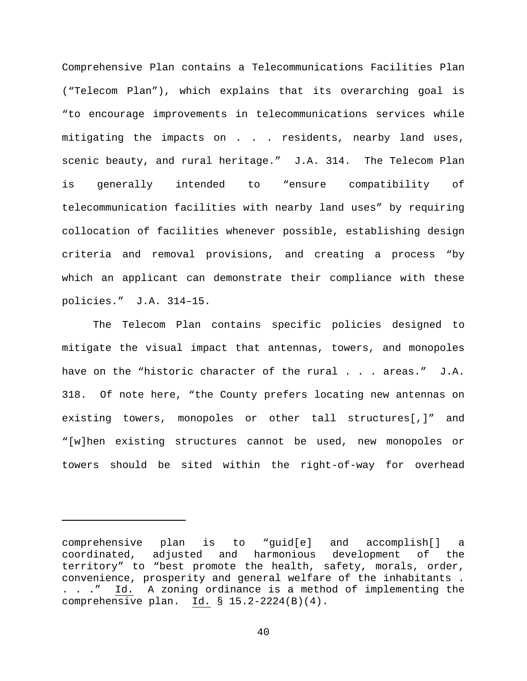Comprehensive Plan contains a Telecommunications Facilities Plan ("Telecom Plan"), which explains that its overarching goal is "to encourage improvements in telecommunications services while mitigating the impacts on . . . residents, nearby land uses, scenic beauty, and rural heritage." J.A. 314. The Telecom Plan is generally intended to "ensure compatibility of telecommunication facilities with nearby land uses" by requiring collocation of facilities whenever possible, establishing design criteria and removal provisions, and creating a process "by which an applicant can demonstrate their compliance with these policies." J.A. 314–15.

The Telecom Plan contains specific policies designed to mitigate the visual impact that antennas, towers, and monopoles have on the "historic character of the rural . . . areas." J.A. 318. Of note here, "the County prefers locating new antennas on existing towers, monopoles or other tall structures[,]" and "[w]hen existing structures cannot be used, new monopoles or towers should be sited within the right-of-way for overhead

ī

comprehensive plan is to "guid[e] and accomplish[] a coordinated, adjusted and harmonious development of the territory" to "best promote the health, safety, morals, order, convenience, prosperity and general welfare of the inhabitants . . . ." Id. A zoning ordinance is a method of implementing the comprehensive plan. Id. § 15.2-2224(B)(4).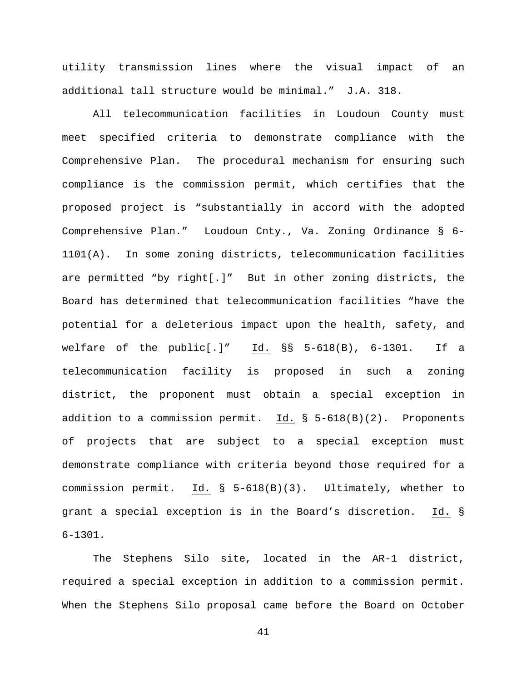utility transmission lines where the visual impact of an additional tall structure would be minimal." J.A. 318.

All telecommunication facilities in Loudoun County must meet specified criteria to demonstrate compliance with the Comprehensive Plan. The procedural mechanism for ensuring such compliance is the commission permit, which certifies that the proposed project is "substantially in accord with the adopted Comprehensive Plan." Loudoun Cnty., Va. Zoning Ordinance § 6- 1101(A). In some zoning districts, telecommunication facilities are permitted "by right[.]" But in other zoning districts, the Board has determined that telecommunication facilities "have the potential for a deleterious impact upon the health, safety, and welfare of the public[.]" Id. §§ 5-618(B), 6-1301. If a telecommunication facility is proposed in such a zoning district, the proponent must obtain a special exception in addition to a commission permit. Id. § 5-618(B)(2). Proponents of projects that are subject to a special exception must demonstrate compliance with criteria beyond those required for a commission permit. Id. § 5-618(B)(3). Ultimately, whether to grant a special exception is in the Board's discretion. Id. § 6-1301.

The Stephens Silo site, located in the AR-1 district, required a special exception in addition to a commission permit. When the Stephens Silo proposal came before the Board on October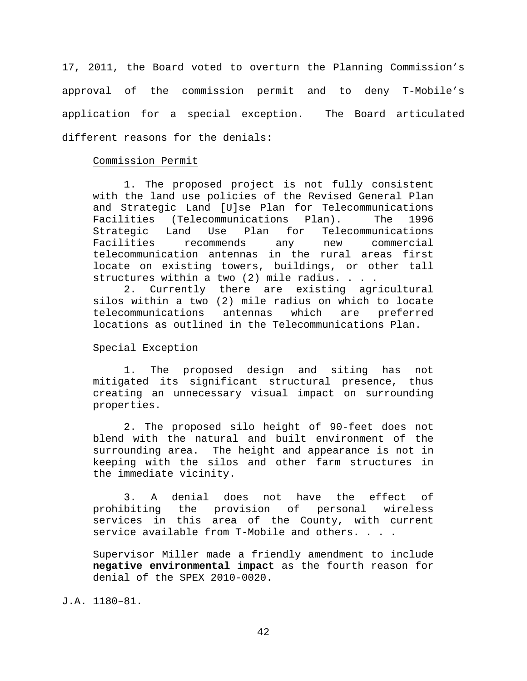17, 2011, the Board voted to overturn the Planning Commission's approval of the commission permit and to deny T-Mobile's application for a special exception. The Board articulated different reasons for the denials:

## Commission Permit

1. The proposed project is not fully consistent with the land use policies of the Revised General Plan and Strategic Land [U]se Plan for Telecommunications<br>Facilities (Telecommunications Plan). The 1996 Facilities (Telecommunications I<br>Strategic Land Use Plan for Land Use Plan for Telecommunications Facilities recommends any new commercial telecommunication antennas in the rural areas first locate on existing towers, buildings, or other tall structures within a two (2) mile radius. . . .<br>2. Currently there are existing agr

Currently there are existing agricultural silos within a two (2) mile radius on which to locate<br>telecommunications antennas which are preferred telecommunications locations as outlined in the Telecommunications Plan.

Special Exception

1. The proposed design and siting has not mitigated its significant structural presence, thus creating an unnecessary visual impact on surrounding properties.

2. The proposed silo height of 90-feet does not blend with the natural and built environment of the surrounding area. The height and appearance is not in keeping with the silos and other farm structures in the immediate vicinity.

3. A denial does not have the effect of prohibiting the provision of personal wireless services in this area of the County, with current service available from T-Mobile and others. . . .

Supervisor Miller made a friendly amendment to include **negative environmental impact** as the fourth reason for denial of the SPEX 2010-0020.

J.A. 1180–81.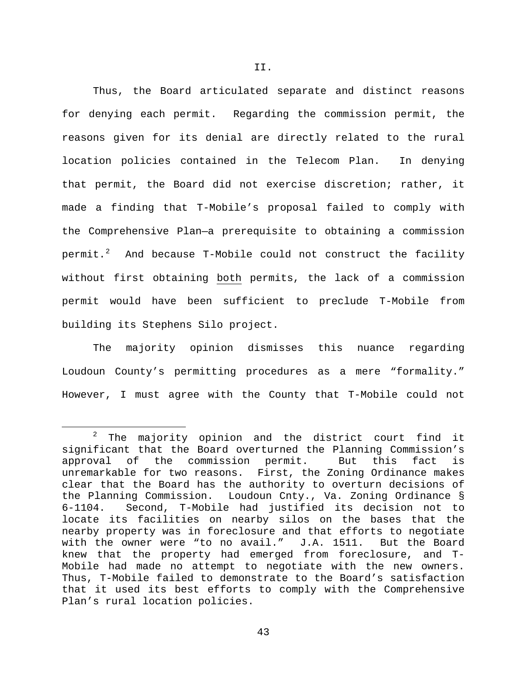Thus, the Board articulated separate and distinct reasons for denying each permit. Regarding the commission permit, the reasons given for its denial are directly related to the rural location policies contained in the Telecom Plan. In denying that permit, the Board did not exercise discretion; rather, it made a finding that T-Mobile's proposal failed to comply with the Comprehensive Plan—a prerequisite to obtaining a commission permit. $^2$  $^2$  And because T-Mobile could not construct the facility without first obtaining both permits, the lack of a commission permit would have been sufficient to preclude T-Mobile from building its Stephens Silo project.

The majority opinion dismisses this nuance regarding Loudoun County's permitting procedures as a mere "formality." However, I must agree with the County that T-Mobile could not

<span id="page-42-0"></span> $2$  The majority opinion and the district court find it significant that the Board overturned the Planning Commission's approval of the commission permit. But this fact is unremarkable for two reasons. First, the Zoning Ordinance makes clear that the Board has the authority to overturn decisions of the Planning Commission. Loudoun Cnty., Va. Zoning Ordinance §<br>6-1104. Second, T-Mobile had justified its decision not to Second, T-Mobile had justified its decision not to locate its facilities on nearby silos on the bases that the nearby property was in foreclosure and that efforts to negotiate with the owner were "to no avail." J.A. 1511. But the Board knew that the property had emerged from foreclosure, and T-Mobile had made no attempt to negotiate with the new owners. Thus, T-Mobile failed to demonstrate to the Board's satisfaction that it used its best efforts to comply with the Comprehensive Plan's rural location policies.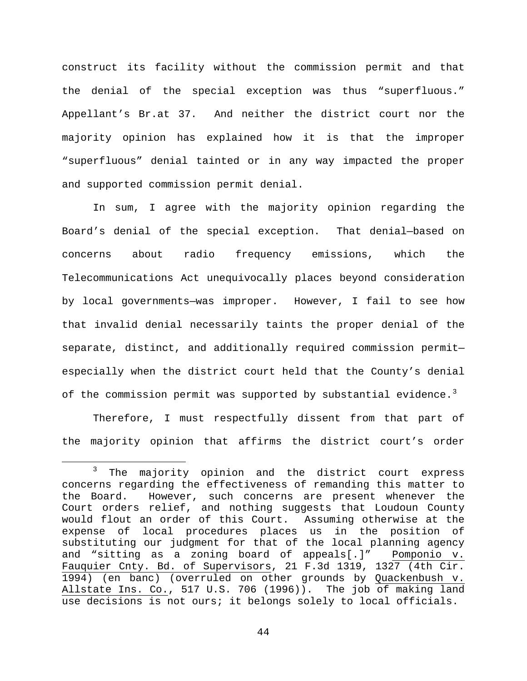construct its facility without the commission permit and that the denial of the special exception was thus "superfluous." Appellant's Br.at 37. And neither the district court nor the majority opinion has explained how it is that the improper "superfluous" denial tainted or in any way impacted the proper and supported commission permit denial.

In sum, I agree with the majority opinion regarding the Board's denial of the special exception. That denial—based on concerns about radio frequency emissions, which the Telecommunications Act unequivocally places beyond consideration by local governments—was improper. However, I fail to see how that invalid denial necessarily taints the proper denial of the separate, distinct, and additionally required commission permit especially when the district court held that the County's denial of the commission permit was supported by substantial evidence. $^3$  $^3$ 

Therefore, I must respectfully dissent from that part of the majority opinion that affirms the district court's order

<span id="page-43-0"></span><sup>&</sup>lt;sup>3</sup> The majority opinion and the district court express concerns regarding the effectiveness of remanding this matter to the Board. However, such concerns are present whenever the Court orders relief, and nothing suggests that Loudoun County would flout an order of this Court. Assuming otherwise at the expense of local procedures places us in the position of substituting our judgment for that of the local planning agency and "sitting as a zoning board of appeals[.]" Pomponio v. Fauquier Cnty. Bd. of Supervisors, 21 F.3d 1319, 1327 (4th Cir. 1994) (en banc) (overruled on other grounds by Quackenbush v. Allstate Ins. Co., 517 U.S. 706 (1996)). The job of making land use decisions is not ours; it belongs solely to local officials.